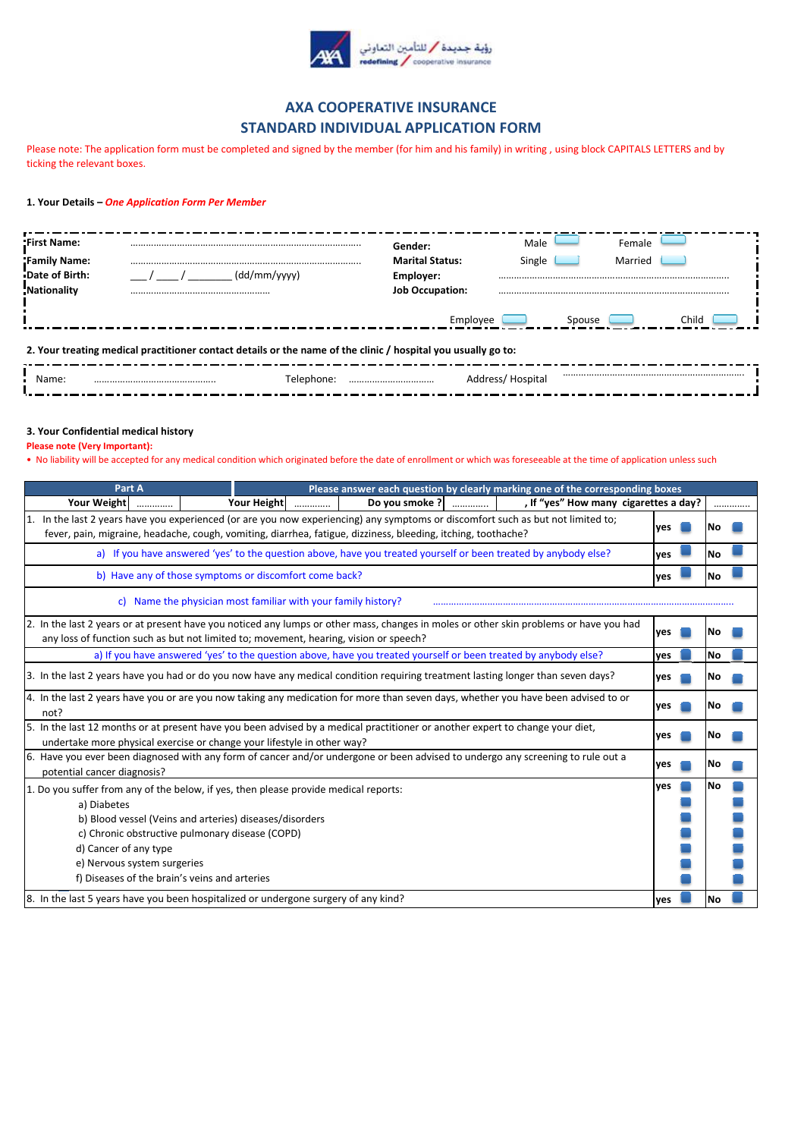

## AXA COOPERATIVE INSURANCE

## STANDARD INDIVIDUAL APPLICATION FORM

Please note: The application form must be completed and signed by the member (for him and his family) in writing , using block CAPITALS LETTERS and by ticking the relevant boxes.

## 1. Your Details – One Application Form Per Member

| <b>First Name:</b><br><b>Family Name:</b><br>Date of Birth:<br><b>Jationality</b>                             | (dd/mm/vyyy) | Gender:<br><b>Marital Status:</b><br>Emplover:<br><b>Job Occupation:</b><br>Fmnlovee | Male<br>Single<br>Spouse | Female<br>Married<br>Child |  |  |
|---------------------------------------------------------------------------------------------------------------|--------------|--------------------------------------------------------------------------------------|--------------------------|----------------------------|--|--|
| 2. Your treating medical practitioner contact details or the name of the clinic / hospital you usually go to: |              |                                                                                      |                          |                            |  |  |

## 3. Your Confidential medical history

Please note (Very Important):

• No liability will be accepted for any medical condition which originated before the date of enrollment or which was foreseeable at the time of application unless such

| Part A                                                                                                                                                                                                                                                                                                                            | Please answer each question by clearly marking one of the corresponding boxes                                   |  |                                                                                                                 |     |     |    |  |
|-----------------------------------------------------------------------------------------------------------------------------------------------------------------------------------------------------------------------------------------------------------------------------------------------------------------------------------|-----------------------------------------------------------------------------------------------------------------|--|-----------------------------------------------------------------------------------------------------------------|-----|-----|----|--|
| Your Weight                                                                                                                                                                                                                                                                                                                       | Do you smoke ?<br>, If "yes" How many cigarettes a day?<br><b>Your Height</b>                                   |  |                                                                                                                 |     |     |    |  |
| 1. In the last 2 years have you experienced (or are you now experiencing) any symptoms or discomfort such as but not limited to;<br>fever, pain, migraine, headache, cough, vomiting, diarrhea, fatigue, dizziness, bleeding, itching, toothache?                                                                                 |                                                                                                                 |  |                                                                                                                 |     | ves | No |  |
|                                                                                                                                                                                                                                                                                                                                   |                                                                                                                 |  | a) If you have answered 'yes' to the question above, have you treated yourself or been treated by anybody else? | ves |     | No |  |
|                                                                                                                                                                                                                                                                                                                                   | b) Have any of those symptoms or discomfort come back?                                                          |  |                                                                                                                 | ves |     | No |  |
|                                                                                                                                                                                                                                                                                                                                   | c) Name the physician most familiar with your family history?                                                   |  |                                                                                                                 |     |     |    |  |
| 2. In the last 2 years or at present have you noticed any lumps or other mass, changes in moles or other skin problems or have you had<br>any loss of function such as but not limited to; movement, hearing, vision or speech?                                                                                                   |                                                                                                                 |  |                                                                                                                 | ves |     | No |  |
|                                                                                                                                                                                                                                                                                                                                   | a) If you have answered 'yes' to the question above, have you treated yourself or been treated by anybody else? |  |                                                                                                                 | ves |     | No |  |
| 3. In the last 2 years have you had or do you now have any medical condition requiring treatment lasting longer than seven days?                                                                                                                                                                                                  |                                                                                                                 |  |                                                                                                                 |     | yes | No |  |
| 4. In the last 2 years have you or are you now taking any medication for more than seven days, whether you have been advised to or<br>not?                                                                                                                                                                                        |                                                                                                                 |  |                                                                                                                 |     | ves | No |  |
| 5. In the last 12 months or at present have you been advised by a medical practitioner or another expert to change your diet,<br>undertake more physical exercise or change your lifestyle in other way?                                                                                                                          |                                                                                                                 |  |                                                                                                                 |     | ves | No |  |
| 6. Have you ever been diagnosed with any form of cancer and/or undergone or been advised to undergo any screening to rule out a<br>potential cancer diagnosis?                                                                                                                                                                    |                                                                                                                 |  |                                                                                                                 | ves |     | No |  |
| ves<br>1. Do you suffer from any of the below, if yes, then please provide medical reports:<br>a) Diabetes<br>b) Blood vessel (Veins and arteries) diseases/disorders<br>c) Chronic obstructive pulmonary disease (COPD)<br>d) Cancer of any type<br>e) Nervous system surgeries<br>f) Diseases of the brain's veins and arteries |                                                                                                                 |  |                                                                                                                 |     | No  |    |  |
| 8. In the last 5 years have you been hospitalized or undergone surgery of any kind?                                                                                                                                                                                                                                               |                                                                                                                 |  |                                                                                                                 | ves |     | No |  |